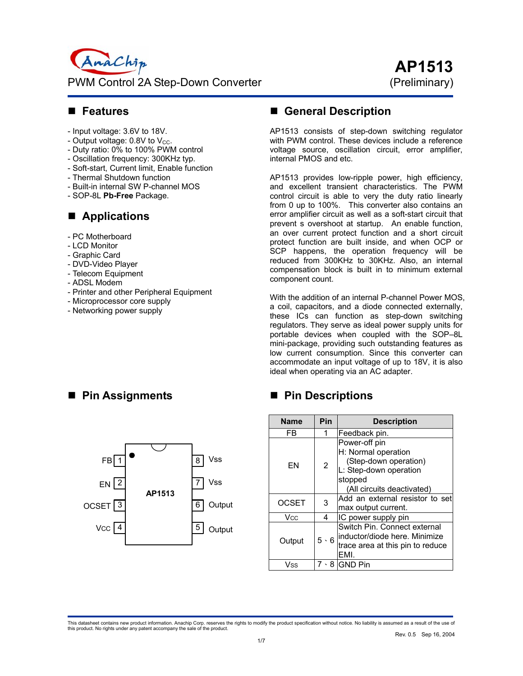

#### **Features**

- Input voltage: 3.6V to 18V.
- Output voltage:  $0.8V$  to  $V_{CC}$ .
- Duty ratio: 0% to 100% PWM control
- Oscillation frequency: 300KHz typ.
- Soft-start, Current limit, Enable function
- Thermal Shutdown function
- Built-in internal SW P-channel MOS
- SOP-8L **Pb-Free** Package.

#### **Applications**

- PC Motherboard
- LCD Monitor
- Graphic Card
- DVD-Video Player
- Telecom Equipment
- ADSL Modem
- Printer and other Peripheral Equipment
- Microprocessor core supply
- Networking power supply

# **General Description**

AP1513 consists of step-down switching regulator with PWM control. These devices include a reference voltage source, oscillation circuit, error amplifier, internal PMOS and etc.

AP1513 provides low-ripple power, high efficiency, and excellent transient characteristics. The PWM control circuit is able to very the duty ratio linearly from 0 up to 100%. This converter also contains an error amplifier circuit as well as a soft-start circuit that prevent s overshoot at startup. An enable function, an over current protect function and a short circuit protect function are built inside, and when OCP or SCP happens, the operation frequency will be reduced from 300KHz to 30KHz. Also, an internal compensation block is built in to minimum external component count.

With the addition of an internal P-channel Power MOS, a coil, capacitors, and a diode connected externally, these ICs can function as step-down switching regulators. They serve as ideal power supply units for portable devices when coupled with the SOP–8L mini-package, providing such outstanding features as low current consumption. Since this converter can accommodate an input voltage of up to 18V, it is also ideal when operating via an AC adapter.

## **Pin Descriptions**

| <b>Name</b>  | Pin         | <b>Description</b>                                                                                                               |  |  |
|--------------|-------------|----------------------------------------------------------------------------------------------------------------------------------|--|--|
| FB           | 1           | Feedback pin.                                                                                                                    |  |  |
| FN           | 2           | Power-off pin<br>H: Normal operation<br>(Step-down operation)<br>L: Step-down operation<br>stopped<br>(All circuits deactivated) |  |  |
| <b>OCSET</b> | 3           | Add an external resistor to set<br>max output current.                                                                           |  |  |
| Vcc.         | 4           | IC power supply pin                                                                                                              |  |  |
| Output       | $5 \cdot 6$ | Switch Pin. Connect external<br>inductor/diode here. Minimize<br>trace area at this pin to reduce<br>FMI.                        |  |  |
| Vss          | 8           | <b>GND Pin</b>                                                                                                                   |  |  |

#### **Pin Assignments**



This datasheet contains new product information. Anachip Corp. reserves the rights to modify the product specification without notice. No liability is assumed as a result of the use of<br>this product. No rights under any pat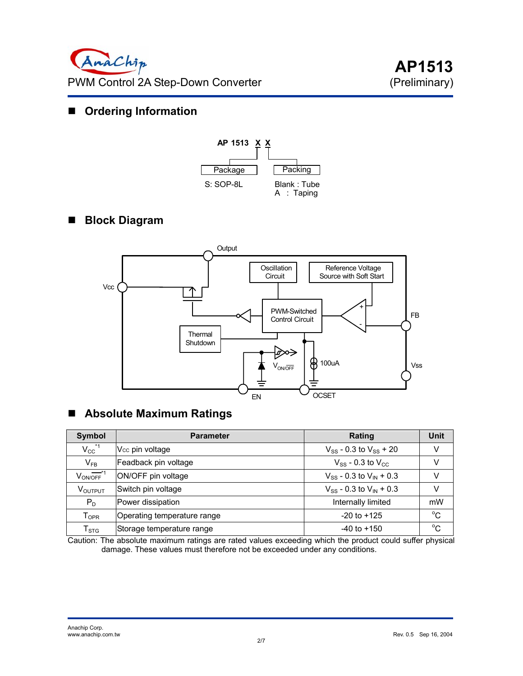# **Ordering Information**



# **Block Diagram**



# **Absolute Maximum Ratings**

| Symbol                    | <b>Parameter</b>            | Rating                           | Unit         |
|---------------------------|-----------------------------|----------------------------------|--------------|
| $V_{CC}^{\  \  \, *1}$    | V <sub>cc</sub> pin voltage | $V_{SS}$ - 0.3 to $V_{SS}$ + 20  |              |
| $V_{FB}$                  | Feadback pin voltage        | $V_{SS}$ - 0.3 to $V_{CC}$       |              |
| $V_{ON/OFF}$ <sup>1</sup> | ON/OFF pin voltage          | $V_{SS}$ - 0.3 to $V_{IN}$ + 0.3 |              |
| VOUTPUT                   | Switch pin voltage          | $V_{SS}$ - 0.3 to $V_{IN}$ + 0.3 |              |
| $P_D$                     | Power dissipation           | Internally limited               | mW           |
| $T_{\mathsf{OPR}}$        | Operating temperature range | $-20$ to $+125$                  | $^{\circ}$ C |
| $T_{\tt STG}$             | Storage temperature range   | $-40$ to $+150$                  | $^{\circ}C$  |

Caution: The absolute maximum ratings are rated values exceeding which the product could suffer physical damage. These values must therefore not be exceeded under any conditions.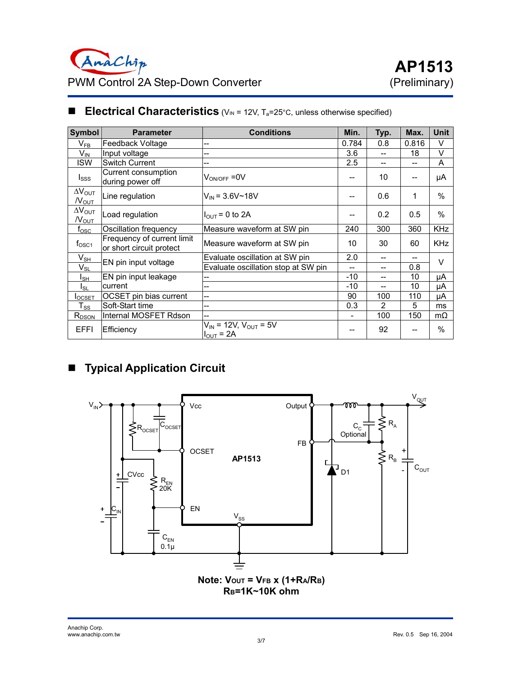| Symbol                                      | <b>Parameter</b>                                       | <b>Conditions</b>                                       | Min.                     | Typ.           | Max.  | <b>Unit</b> |  |
|---------------------------------------------|--------------------------------------------------------|---------------------------------------------------------|--------------------------|----------------|-------|-------------|--|
| $\mathsf{V}_{\mathsf{FB}}$                  | Feedback Voltage                                       | --                                                      | 0.784                    | 0.8            | 0.816 | V           |  |
| $V_{IN}$                                    | Input voltage                                          | --                                                      | 3.6                      |                | 18    | v           |  |
| <b>ISW</b>                                  | <b>Switch Current</b>                                  | --                                                      | 2.5                      | --             | --    | A           |  |
| $I_{SSS}$                                   | Current consumption<br>during power off                | $\rm V_{\rm ON/OFF}$ =0V                                |                          | 10             | --    | μA          |  |
| $\Delta V_{\text{OUT}}$<br>$N_{\text{OUT}}$ | Line regulation                                        | $V_{IN}$ = 3.6V~18V                                     |                          | 0.6            | 1     | $\%$        |  |
| $\Delta V_{\text{OUT}}$<br>$N_{\text{OUT}}$ | Load regulation                                        | $I_{\text{OUT}}$ = 0 to 2A                              | --                       | 0.2            | 0.5   | $\%$        |  |
| $t_{\rm osc}$                               | Oscillation frequency                                  | Measure waveform at SW pin                              | 240                      | 300            | 360   | <b>KHz</b>  |  |
| $f_{\rm OSC1}$                              | Frequency of current limit<br>or short circuit protect | Measure waveform at SW pin                              | 10                       | 30             | 60    | <b>KHz</b>  |  |
| $V_{SH}$                                    | EN pin input voltage                                   | Evaluate oscillation at SW pin                          | 2.0                      | --             | --    | $\vee$      |  |
| $V_{SL}$                                    |                                                        | Evaluate oscillation stop at SW pin                     | --                       | --             | 0.8   |             |  |
| Isн                                         | EN pin input leakage                                   |                                                         | $-10$                    | --             | 10    | μA          |  |
| $I_{SL}$                                    | current                                                | --                                                      | -10                      | --             | 10    | μA          |  |
| $I_{\rm{OCSET}}$                            | OCSET pin bias current                                 | $-$                                                     | 90                       | 100            | 110   | μA          |  |
| $\mathsf{T}_{\mathsf{SS}}$                  | Soft-Start time                                        | --                                                      | 0.3                      | $\overline{2}$ | 5     | ms          |  |
| $R_{DSON}$                                  | Internal MOSFET Rdson                                  | $-$                                                     | $\overline{\phantom{0}}$ | 100            | 150   | $m\Omega$   |  |
| <b>EFFI</b>                                 | Efficiency                                             | $V_{IN}$ = 12V, $V_{OUT}$ = 5V<br>$I_{\text{OUT}}$ = 2A |                          | 92             |       | $\%$        |  |

## **Electrical Characteristics** (V<sub>IN</sub> = 12V, T<sub>a</sub>=25°C, unless otherwise specified)

# **Typical Application Circuit**

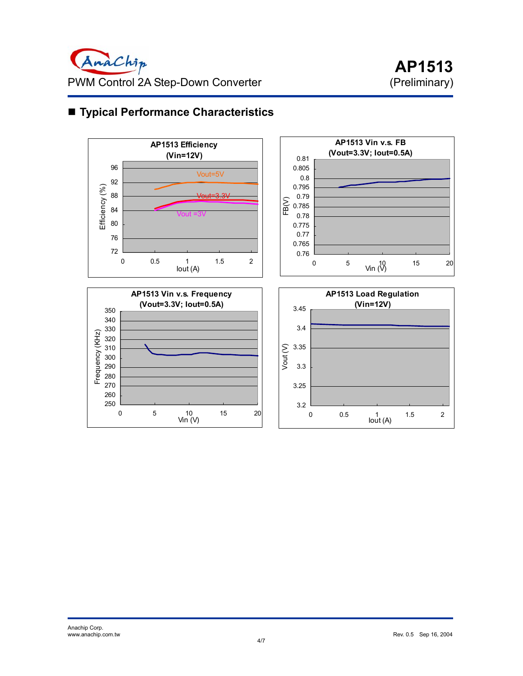

# ■ **Typical Performance Characteristics**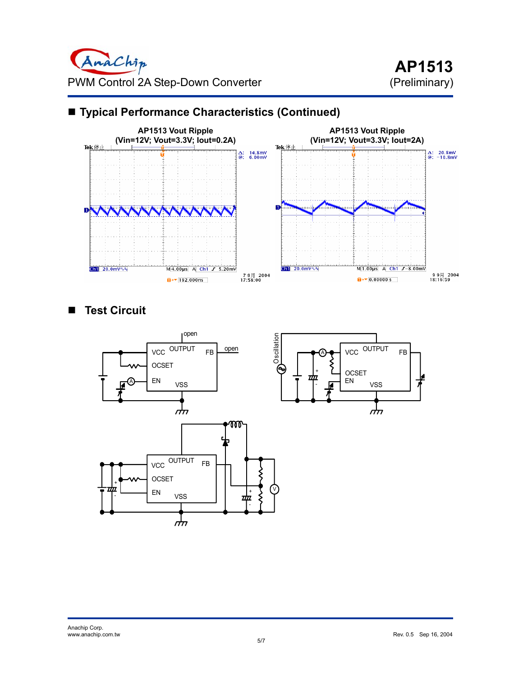

# **Typical Performance Characteristics (Continued)**

### **Test Circuit**

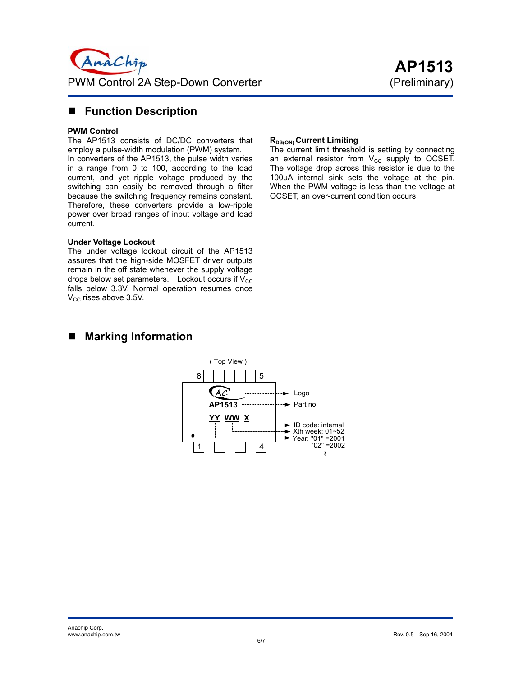

#### **Function Description**

#### **PWM Control**

The AP1513 consists of DC/DC converters that employ a pulse-width modulation (PWM) system.

In converters of the AP1513, the pulse width varies in a range from 0 to 100, according to the load current, and yet ripple voltage produced by the switching can easily be removed through a filter because the switching frequency remains constant. Therefore, these converters provide a low-ripple power over broad ranges of input voltage and load current.

#### **Under Voltage Lockout**

The under voltage lockout circuit of the AP1513 assures that the high-side MOSFET driver outputs remain in the off state whenever the supply voltage drops below set parameters. Lockout occurs if  $V_{\text{CC}}$ falls below 3.3V. Normal operation resumes once  $V_{\text{CC}}$  rises above 3.5V.

#### **RDS(ON)** Current Limiting

The current limit threshold is setting by connecting an external resistor from  $V_{CC}$  supply to OCSET. The voltage drop across this resistor is due to the 100uA internal sink sets the voltage at the pin. When the PWM voltage is less than the voltage at OCSET, an over-current condition occurs.

### ■ Marking Information